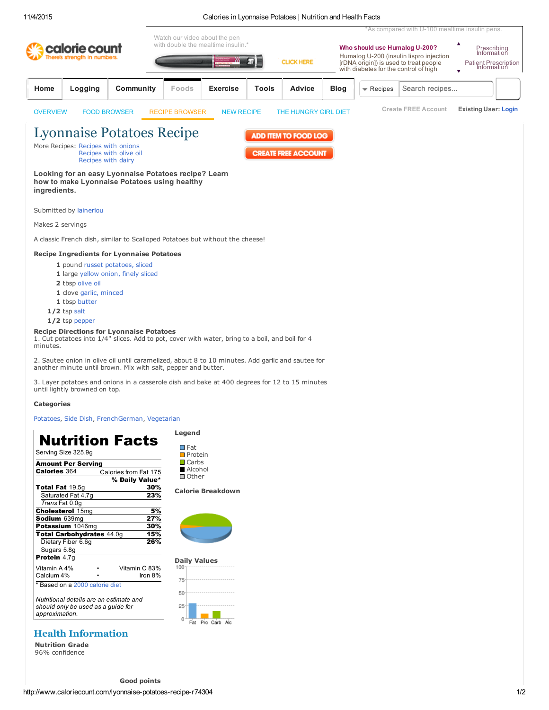### 11/4/2015 Calories in Lyonnaise Potatoes | Nutrition and Health Facts

|                                               |                                                                                                                                                                             |                                              | Watch our video about the pen                                                                                                            |                                                                                                 |                                                                                                  |             |                                                                                                                                                             | *As compared with U-100 mealtime insulin pens.                         |                             |
|-----------------------------------------------|-----------------------------------------------------------------------------------------------------------------------------------------------------------------------------|----------------------------------------------|------------------------------------------------------------------------------------------------------------------------------------------|-------------------------------------------------------------------------------------------------|--------------------------------------------------------------------------------------------------|-------------|-------------------------------------------------------------------------------------------------------------------------------------------------------------|------------------------------------------------------------------------|-----------------------------|
| calorie count<br>There's strength in numbers. |                                                                                                                                                                             |                                              | with double the mealtime insulin.*                                                                                                       |                                                                                                 | <b>CLICK HERE</b>                                                                                |             | Who should use Humalog U-200?<br>Humalog U-200 (insulin lispro injection<br>[rDNA origin]) is used to treat people<br>with diabetes for the control of high | ▲<br>Prescribing<br>Information<br>Patient Prescription<br>Information |                             |
| Home                                          | Logging                                                                                                                                                                     | Community                                    | Foods                                                                                                                                    | <b>Exercise</b>                                                                                 | <b>Advice</b><br>Tools                                                                           | <b>Blog</b> | $\blacktriangledown$ Recipes                                                                                                                                | Search recipes                                                         |                             |
| <b>OVERVIEW</b>                               |                                                                                                                                                                             | <b>FOOD BROWSER</b>                          | <b>RECIPE BROWSER</b>                                                                                                                    | <b>NEW RECIPE</b>                                                                               | THE HUNGRY GIRL DIET                                                                             |             |                                                                                                                                                             | <b>Create FREE Account</b>                                             | <b>Existing User: Login</b> |
| ingredients.                                  | More Recipes: Recipes with onions                                                                                                                                           | Recipes with olive oil<br>Recipes with dairy | <b>Lyonnaise Potatoes Recipe</b><br>Looking for an easy Lyonnaise Potatoes recipe? Learn<br>how to make Lyonnaise Potatoes using healthy |                                                                                                 | ADD ITEM TO FOOD LOG<br><b>CREATE FREE ACCOUNT</b>                                               |             |                                                                                                                                                             |                                                                        |                             |
| Makes 2 servings                              | Submitted by lainerlou                                                                                                                                                      |                                              |                                                                                                                                          |                                                                                                 |                                                                                                  |             |                                                                                                                                                             |                                                                        |                             |
|                                               |                                                                                                                                                                             |                                              |                                                                                                                                          | A classic French dish, similar to Scalloped Potatoes but without the cheese!                    |                                                                                                  |             |                                                                                                                                                             |                                                                        |                             |
|                                               | <b>Recipe Ingredients for Lyonnaise Potatoes</b>                                                                                                                            |                                              |                                                                                                                                          |                                                                                                 |                                                                                                  |             |                                                                                                                                                             |                                                                        |                             |
|                                               | 1 pound russet potatoes, sliced<br>1 large yellow onion, finely sliced<br>2 tbsp olive oil<br>1 clove garlic, minced<br>1 tbsp butter<br>$1/2$ tsp salt<br>$1/2$ tsp pepper |                                              |                                                                                                                                          |                                                                                                 |                                                                                                  |             |                                                                                                                                                             |                                                                        |                             |
| minutes.                                      | <b>Recipe Directions for Lyonnaise Potatoes</b>                                                                                                                             |                                              |                                                                                                                                          | 1. Cut potatoes into 1/4" slices. Add to pot, cover with water, bring to a boil, and boil for 4 |                                                                                                  |             |                                                                                                                                                             |                                                                        |                             |
|                                               |                                                                                                                                                                             |                                              | another minute until brown. Mix with salt, pepper and butter.                                                                            |                                                                                                 | 2. Sautee onion in olive oil until caramelized, about 8 to 10 minutes. Add garlic and sautee for |             |                                                                                                                                                             |                                                                        |                             |
|                                               |                                                                                                                                                                             |                                              |                                                                                                                                          |                                                                                                 | 2. Love notatoes and opions in a cocoorde dish and bolse at 400 decrees for 12 to 15 minutes     |             |                                                                                                                                                             |                                                                        |                             |

3. Layer potatoes and onions in a casserole dish and bake at 400 degrees for 12 to 15 minutes until lightly browned on top.

### **Categories**

### [Potatoes](http://www.caloriecount.com/potatoes-recipes-rc16), Side [Dish,](http://www.caloriecount.com/side-dish-recipes-rc29) [FrenchGerman,](http://www.caloriecount.com/frenchgerman-recipes-rc42) [Vegetarian](http://www.caloriecount.com/vegetarian-recipes-rc89)

# Nutrition Facts

Serving Size 325.9g

| Amount Per Serving                                                            |     |                       |  |  |  |  |  |  |
|-------------------------------------------------------------------------------|-----|-----------------------|--|--|--|--|--|--|
| <b>Calories 364</b>                                                           |     | Calories from Fat 175 |  |  |  |  |  |  |
|                                                                               |     | % Daily Value*        |  |  |  |  |  |  |
| Total Fat 19.5g                                                               |     | 30%                   |  |  |  |  |  |  |
| Saturated Fat 4.7q                                                            |     | 23%                   |  |  |  |  |  |  |
| Trans Fat 0.0q                                                                |     |                       |  |  |  |  |  |  |
| <b>Cholesterol 15mg</b>                                                       | 5%  |                       |  |  |  |  |  |  |
| Sodium 639mg                                                                  | 27% |                       |  |  |  |  |  |  |
| Potassium 1046mg<br>30%                                                       |     |                       |  |  |  |  |  |  |
| Total Carbohydrates 44.0q<br>15%                                              |     |                       |  |  |  |  |  |  |
| Dietary Fiber 6.6q                                                            |     | 26%                   |  |  |  |  |  |  |
| Sugars 5.8g                                                                   |     |                       |  |  |  |  |  |  |
| Protein 4.7q                                                                  |     |                       |  |  |  |  |  |  |
| Vitamin A 4%                                                                  |     | Vitamin C 83%         |  |  |  |  |  |  |
| Calcium 4%                                                                    |     | Iron 8%               |  |  |  |  |  |  |
| * Based on a 2000 calorie diet                                                |     |                       |  |  |  |  |  |  |
| Nutritional details are an estimate and<br>should only be used as a quide for |     |                       |  |  |  |  |  |  |

*should only be used as a guide for approximation.*

### Health Information

Nutrition Grade 96% confidence

Legend **Fat Protein** Carbs Alcohol Other

### Calorie Breakdown



## Daily Values